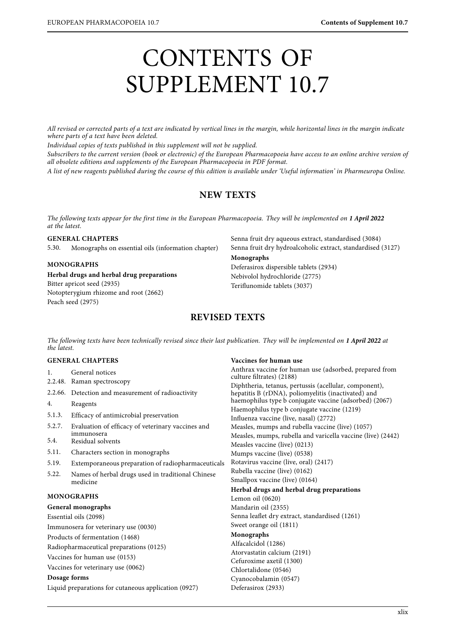# CONTENTS OF SUPPLEMENT 10.7

All revised or corrected parts of a text are indicated by vertical lines in the margin, while horizontal lines in the margin indicate<br>where parts of a text have been deleted.

Individual copies of texts published in this supplement will not be supplied.

Subscribers to the current version (book or electronic) of the European Pharmacopoeia have access to an online archive version of all obsolete editions and supplements of the European Pharmacopoeia in PDF format.

all observed entitive unit engagements of the European Pharmacopoeia in PDF format.<br>A list of useu more unit published deminer the course of this edition is quailable under Th A list of new reagents published during the course of this edition is available under 'Useful information' in Pharmeuropa Online.

# **NEW TEXTS**

The following texts appear for the first time in the European Pharmacopoeia. They will be implemented on **1 April 2022**

**GENERAL CHAPTERS** 5.30. Monographs on essential oils (information chapter)

**MONOGRAPHS Herbal drugs and herbal drug preparations** Bitter apricot seed (2935) Notopterygium rhizome and root (2662)

Peach seed (2975)

Senna fruit dry aqueous extract, standardised (3084) Senna fruit dry hydroalcoholic extract, standardised (3127)

#### **Monographs**

Deferasirox dispersible tablets (2934) Nebivolol hydrochloride (2775) Teriflunomide tablets (3037)

# **REVISED TEXTS**

The following texts have been technically revised since their last publication. They will be implemented on **1 April 2022** at

## **GENERAL CHAPTERS**

- 1. General notices 2.2.48. Raman spectroscopy 2.2.66. Detection and measurement of radioactivity 4. Reagents 5.1.3. Efficacy of antimicrobial preservation
- 5.2.7. Evaluation of efficacy of veterinary vaccines and immunosera
- 5.4. Residual solvents
- 5.11. Characters section in monographs
- 5.19. Extemporaneous preparation of radiopharmaceuticals
- 5.22. Names of herbal drugs used in traditional Chinese medicine

## **MONOGRAPHS**

#### **General monographs**

Essential oils (2098)

Immunosera for veterinary use (0030)

Products of fermentation (1468)

Radiopharmaceutical preparations (0125)

Vaccines for human use (0153)

Vaccines for veterinary use (0062)

#### **Dosage forms**

Liquid preparations for cutaneous application (0927)

**Vaccines for human use** Anthrax vaccine for human use (adsorbed, prepared from culture filtrates) (2188) Diphtheria, tetanus, pertussis (acellular, component), hepatitis B (rDNA), poliomyelitis (inactivated) and haemophilus type b conjugate vaccine (adsorbed) (2067) Haemophilus type b conjugate vaccine (1219) Influenza vaccine (live, nasal) (2772) Measles, mumps and rubella vaccine (live) (1057) Measles, mumps, rubella and varicella vaccine (live) (2442) Measles vaccine (live) (0213) Mumps vaccine (live) (0538) Rotavirus vaccine (live, oral) (2417) Rubella vaccine (live) (0162) Smallpox vaccine (live) (0164) **Herbal drugs and herbal drug preparations** Lemon oil (0620) Mandarin oil (2355) Senna leaflet dry extract, standardised (1261) Sweet orange oil (1811) **Monographs** Alfacalcidol (1286) Atorvastatin calcium (2191) Cefuroxime axetil (1300) Chlortalidone (0546) Cyanocobalamin (0547) Deferasirox (2933)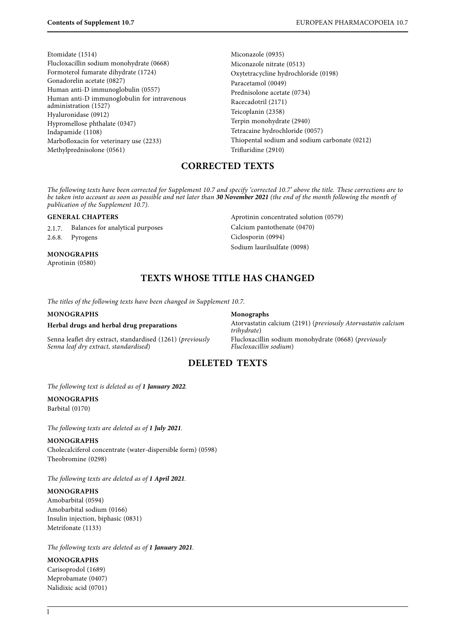Etomidate (1514) Flucloxacillin sodium monohydrate (0668) Formoterol fumarate dihydrate (1724) Gonadorelin acetate (0827) Human anti-D immunoglobulin (0557) Human anti-D immunoglobulin for intravenous administration (1527) Hyaluronidase (0912) Hypromellose phthalate (0347) Indapamide (1108) Marbofloxacin for veterinary use (2233) Methylprednisolone (0561)

Miconazole (0935) Miconazole nitrate (0513) Oxytetracycline hydrochloride (0198) Paracetamol (0049) Prednisolone acetate (0734) Racecadotril (2171) Teicoplanin (2358) Terpin monohydrate (2940) Tetracaine hydrochloride (0057) Thiopental sodium and sodium carbonate (0212) Trifluridine (2910)

# **CORRECTED TEXTS**

be taken into account as soon as possible and not later than **30 November 2021** (the end of the month following the month of<br>publication of the Supplement 10.7). publication of the Supplement 10.7).

#### **GENERAL CHAPTERS**

2.1.7. Balances for analytical purposes 2.6.8. Pyrogens

## **MONOGRAPHS**

Aprotinin (0580)

Aprotinin concentrated solution (0579) Calcium pantothenate (0470) Ciclosporin (0994) Sodium laurilsulfate (0098)

# **TEXTS WHOSE TITLE HAS CHANGED**

The titles of the following texts have been changed in Supplement 10.7.

#### **MONOGRAPHS**

## **Herbal drugs and herbal drug preparations**

Senna leaflet dry extract, standardised (1261) (previously Senna leaf dry extract, standardised)

**Monographs** Atorvastatin calcium (2191) (previously Atorvastatin calcium trihydrate) Flucloxacillin sodium monohydrate (0668) (previously Flucloxacillin sodium)

## **DELETED TEXTS**

The following text is deleted as of **1 January 2022**.

# **MONOGRAPHS**

Barbital (0170)

The following texts are deleted as of **1 July 2021**.

#### **MONOGRAPHS**

Cholecalciferol concentrate (water-dispersible form) (0598) Theobromine (0298)

#### The following texts are deleted as of **1 April 2021**.

#### **MONOGRAPHS**

Amobarbital (0594) Amobarbital sodium (0166) Insulin injection, biphasic (0831) Metrifonate (1133)

The following texts are deleted as of **1 January 2021**.

#### **MONOGRAPHS**

Carisoprodol (1689) Meprobamate (0407) Nalidixic acid (0701)